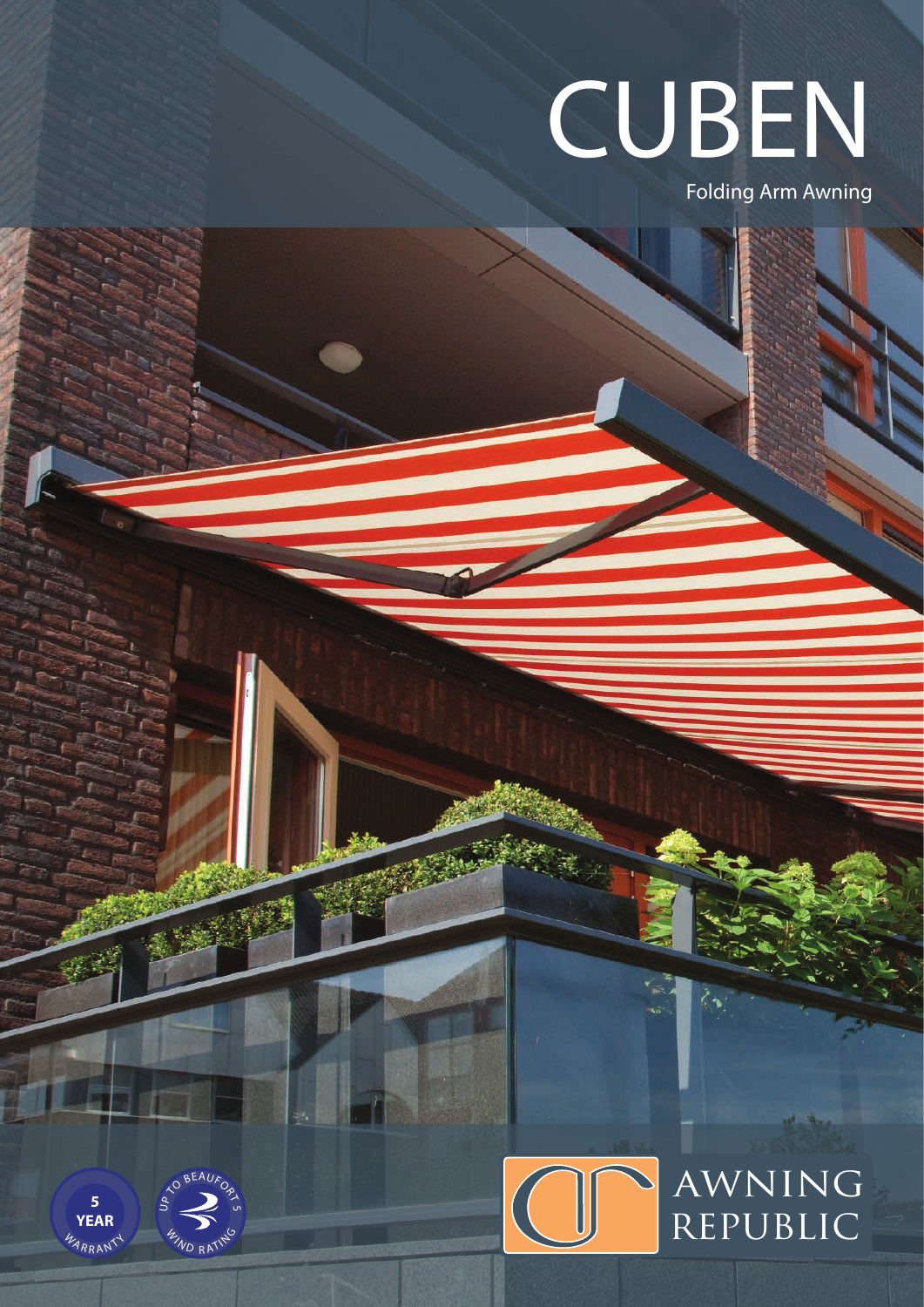

Folding Arm Awning





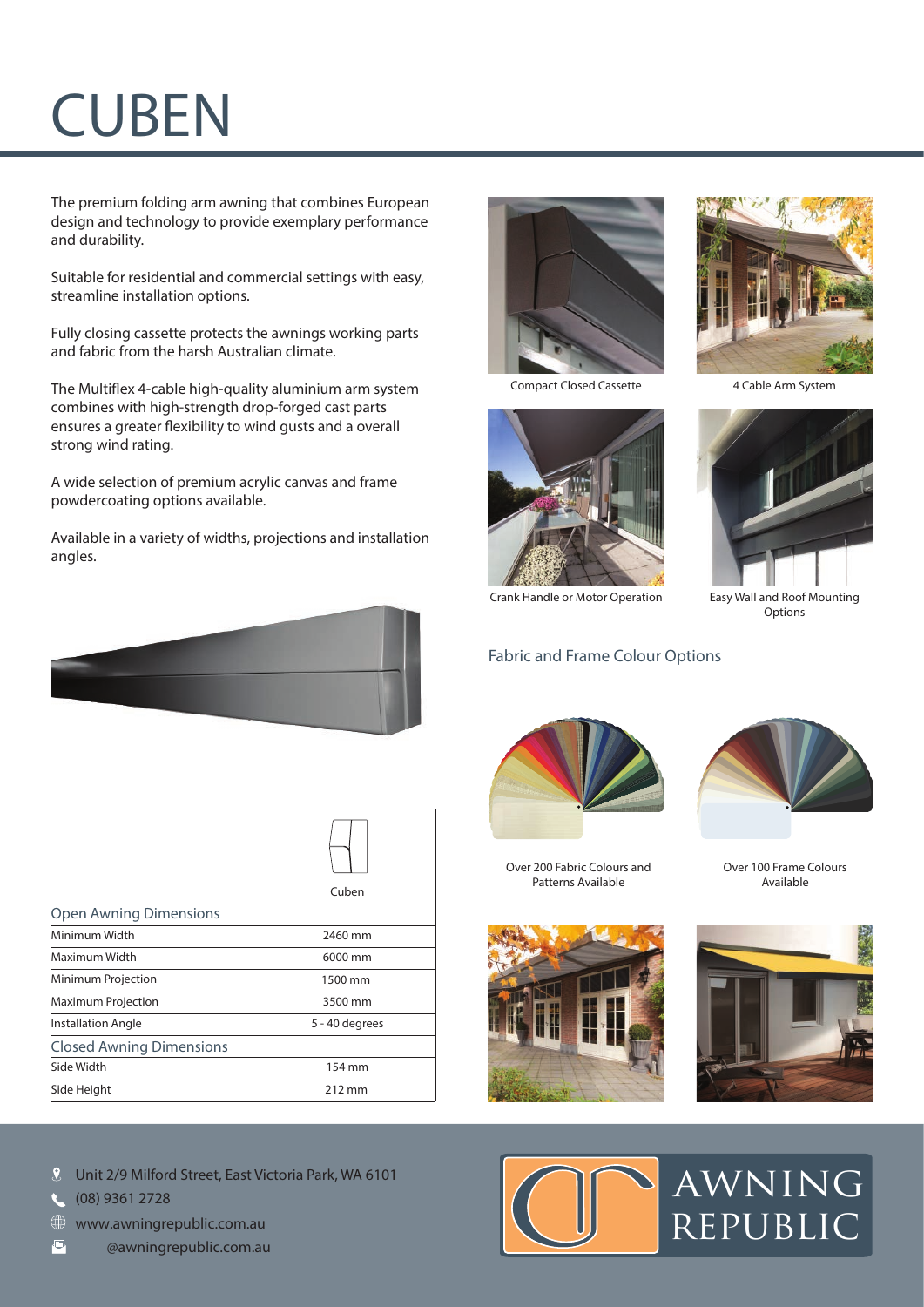## **CUBEN**

The premium folding arm awning that combines European design and technology to provide exemplary performance and durability.

Suitable for residential and commercial settings with easy, streamline installation options.

Fully closing cassette protects the awnings working parts and fabric from the harsh Australian climate.

The Multiflex 4-cable high-quality aluminium arm system combines with high-strength drop-forged cast parts ensures a greater flexibility to wind gusts and a overall strong wind rating.

A wide selection of premium acrylic canvas and frame powdercoating options available.

Available in a variety of widths, projections and installation angles.



|                                 | Cuben          |
|---------------------------------|----------------|
| <b>Open Awning Dimensions</b>   |                |
| Minimum Width                   | 2460 mm        |
| Maximum Width                   | 6000 mm        |
| Minimum Projection              | 1500 mm        |
| <b>Maximum Projection</b>       | 3500 mm        |
| <b>Installation Angle</b>       | 5 - 40 degrees |
| <b>Closed Awning Dimensions</b> |                |
| Side Width                      | 154 mm         |
| Side Height                     | 212 mm         |

 $\overline{1}$ 



(08) 9361 2728

- www.awningrepublic.com.au
- **TBM** TBM FOR AWNING THE TEMPERAL



Compact Closed Cassette 4 Cable Arm System



Crank Handle or Motor Operation Easy Wall and Roof Mounting

## Fabric and Frame Colour Options



Over 200 Fabric Colours and Patterns Available







Options



Over 100 Frame Colours Available